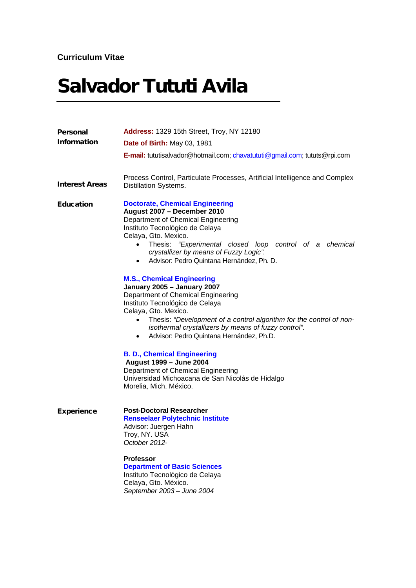# Salvador Tututi Avila

| Personal<br><b>Information</b> | <b>Address: 1329 15th Street, Troy, NY 12180</b><br><b>Date of Birth: May 03, 1981</b>                                                                                                                                                                                                                                                                                                                                                                                                                                                                                                                                                                                                                                                                              |
|--------------------------------|---------------------------------------------------------------------------------------------------------------------------------------------------------------------------------------------------------------------------------------------------------------------------------------------------------------------------------------------------------------------------------------------------------------------------------------------------------------------------------------------------------------------------------------------------------------------------------------------------------------------------------------------------------------------------------------------------------------------------------------------------------------------|
|                                | E-mail: tututisalvador@hotmail.com; chavatututi@gmail.com; tututs@rpi.com                                                                                                                                                                                                                                                                                                                                                                                                                                                                                                                                                                                                                                                                                           |
| <b>Interest Areas</b>          | Process Control, Particulate Processes, Artificial Intelligence and Complex<br><b>Distillation Systems.</b>                                                                                                                                                                                                                                                                                                                                                                                                                                                                                                                                                                                                                                                         |
| <b>Education</b>               | <b>Doctorate, Chemical Engineering</b><br>August 2007 - December 2010<br>Department of Chemical Engineering<br>Instituto Tecnológico de Celaya<br>Celaya, Gto. Mexico.<br>Thesis: "Experimental closed loop control of a chemical<br>crystallizer by means of Fuzzy Logic".<br>Advisor: Pedro Quintana Hernández, Ph. D.<br>$\bullet$<br><b>M.S., Chemical Engineering</b><br>January 2005 - January 2007<br>Department of Chemical Engineering<br>Instituto Tecnológico de Celaya<br>Celaya, Gto. Mexico.<br>Thesis: "Development of a control algorithm for the control of non-<br>isothermal crystallizers by means of fuzzy control".<br>Advisor: Pedro Quintana Hernández, Ph.D.<br>$\bullet$<br><b>B. D., Chemical Engineering</b><br>August 1999 - June 2004 |
|                                | Department of Chemical Engineering<br>Universidad Michoacana de San Nicolás de Hidalgo<br>Morelia, Mich. México.                                                                                                                                                                                                                                                                                                                                                                                                                                                                                                                                                                                                                                                    |
| <b>Experience</b>              | <b>Post-Doctoral Researcher</b><br><b>Renseelaer Polytechnic Institute</b><br>Advisor: Juergen Hahn<br>Troy, NY. USA<br>October 2012-<br><b>Professor</b><br><b>Department of Basic Sciences</b><br>Instituto Tecnológico de Celaya<br>Celaya, Gto. México.<br>September 2003 - June 2004                                                                                                                                                                                                                                                                                                                                                                                                                                                                           |
|                                |                                                                                                                                                                                                                                                                                                                                                                                                                                                                                                                                                                                                                                                                                                                                                                     |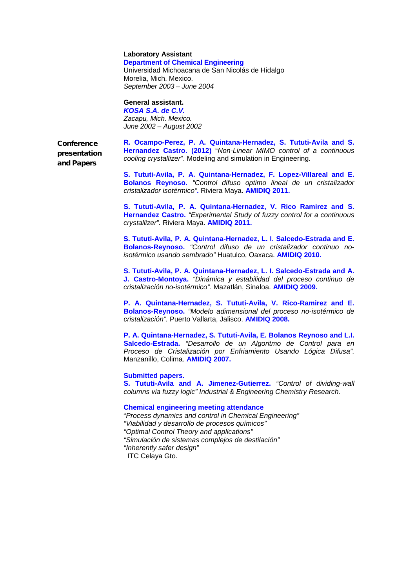#### **Laboratory Assistant Department of Chemical Engineering**

Universidad Michoacana de San Nicolás de Hidalgo Morelia, Mich. Mexico. *September 2003 – June 2004*

## **General assistant.**

*KOSA S.A. de C.V. Zacapu, Mich. Mexico. June 2002 – August 2002*

**Conference** presentation and Papers

**R. Ocampo-Perez, P. A. Quintana-Hernadez, S. Tututi-Avila and S. Hernandez Castro. (2012)** "*Non-Linear MIMO control of a continuous cooling crystallizer*". Modeling and simulation in Engineering.

**S. Tututi-Avila, P. A. Quintana-Hernadez, F. Lopez-Villareal and E. Bolanos Reynoso.** *"Control difuso optimo lineal de un cristalizador cristalizador isotérmico"***.** Riviera Maya. **AMIDIQ 2011.**

**S. Tututi-Avila, P. A. Quintana-Hernadez, V. Rico Ramirez and S. Hernandez Castro.** *"Experimental Study of fuzzy control for a continuous crystallizer".* Riviera Maya. **AMIDIQ 2011.**

**S. Tututi-Avila, P. A. Quintana-Hernadez, L. I. Salcedo-Estrada and E. Bolanos-Reynoso.** *"Control difuso de un cristalizador continuo noisotérmico usando sembrado"* Huatulco, Oaxaca. **AMIDIQ 2010.**

**S. Tututi-Avila, P. A. Quintana-Hernadez, L. I. Salcedo-Estrada and A. J. Castro-Montoya.** *"Dinámica y estabilidad del proceso continuo de cristalización no-isotérmico".* Mazatlán, Sinaloa. **AMIDIQ 2009.**

**P. A. Quintana-Hernadez, S. Tututi-Avila, V. Rico-Ramirez and E. Bolanos-Reynoso.** *"Modelo adimensional del proceso no-isotérmico de cristalización".* Puerto Vallarta, Jalisco. **AMIDIQ 2008.**

**P. A. Quintana-Hernadez, S. Tututi-Avila, E. Bolanos Reynoso and L.I. Salcedo-Estrada.** *"Desarrollo de un Algoritmo de Control para en Proceso de Cristalización por Enfriamiento Usando Lógica Difusa".* Manzanillo, Colima. **AMIDIQ 2007.**

## **Submitted papers.**

**S. Tututi-Avila and A. Jimenez-Gutierrez.** *"Control of dividing-wall columns via fuzzy logic" Industrial & Engineering Chemistry Research.*

## **Chemical engineering meeting attendance**

"*Process dynamics and control in Chemical Engineering" "Viabilidad y desarrollo de procesos químicos" "Optimal Control Theory and applications" "Simulación de sistemas complejos de destilación" "Inherently safer design"* ITC Celaya Gto.